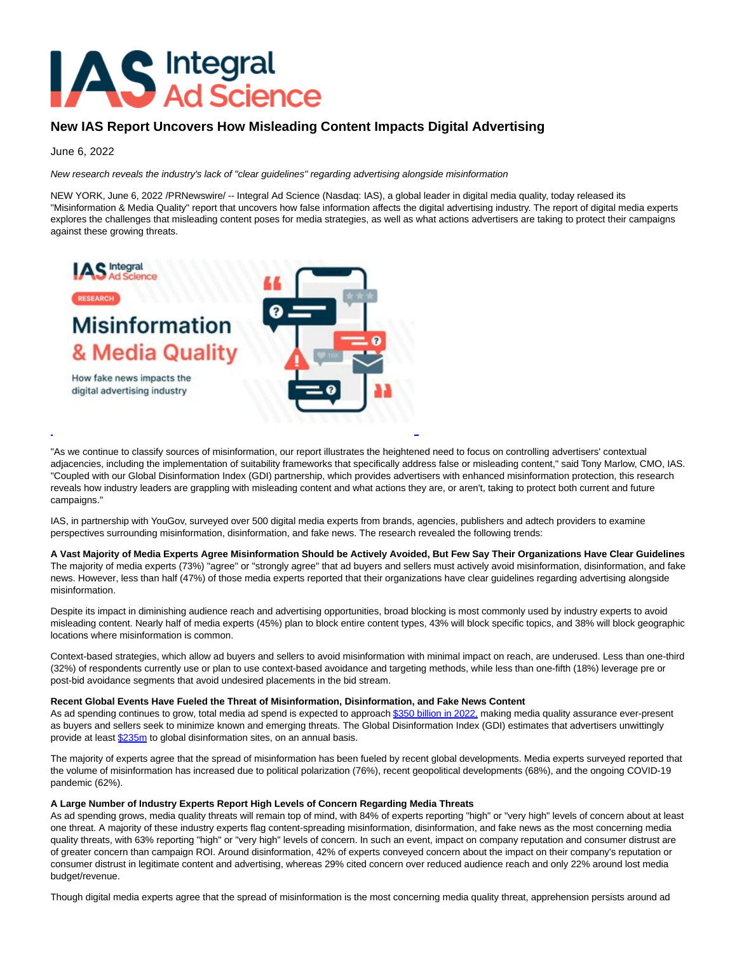# **AS** Integral

# **New IAS Report Uncovers How Misleading Content Impacts Digital Advertising**

# June 6, 2022

New research reveals the industry's lack of "clear guidelines" regarding advertising alongside misinformation

NEW YORK, June 6, 2022 /PRNewswire/ -- Integral Ad Science (Nasdaq: IAS), a global leader in digital media quality, today released its "Misinformation & Media Quality" report that uncovers how false information affects the digital advertising industry. The report of digital media experts explores the challenges that misleading content poses for media strategies, as well as what actions advertisers are taking to protect their campaigns against these growing threats.



"As we continue to classify sources of misinformation, our report illustrates the heightened need to focus on controlling advertisers' contextual adjacencies, including the implementation of suitability frameworks that specifically address false or misleading content," said Tony Marlow, CMO, IAS. "Coupled with our Global Disinformation Index (GDI) partnership, which provides advertisers with enhanced misinformation protection, this research reveals how industry leaders are grappling with misleading content and what actions they are, or aren't, taking to protect both current and future campaigns."

IAS, in partnership with YouGov, surveyed over 500 digital media experts from brands, agencies, publishers and adtech providers to examine perspectives surrounding misinformation, disinformation, and fake news. The research revealed the following trends:

### **A Vast Majority of Media Experts Agree Misinformation Should be Actively Avoided, But Few Say Their Organizations Have Clear Guidelines**

The majority of media experts (73%) "agree" or "strongly agree" that ad buyers and sellers must actively avoid misinformation, disinformation, and fake news. However, less than half (47%) of those media experts reported that their organizations have clear guidelines regarding advertising alongside misinformation.

Despite its impact in diminishing audience reach and advertising opportunities, broad blocking is most commonly used by industry experts to avoid misleading content. Nearly half of media experts (45%) plan to block entire content types, 43% will block specific topics, and 38% will block geographic locations where misinformation is common.

Context-based strategies, which allow ad buyers and sellers to avoid misinformation with minimal impact on reach, are underused. Less than one-third (32%) of respondents currently use or plan to use context-based avoidance and targeting methods, while less than one-fifth (18%) leverage pre or post-bid avoidance segments that avoid undesired placements in the bid stream.

#### **Recent Global Events Have Fueled the Threat of Misinformation, Disinformation, and Fake News Content**

As ad spending continues to grow, total media ad spend is expected to approach [\\$350 billion in 2022, m](https://c212.net/c/link/?t=0&l=en&o=3547101-1&h=2218178878&u=https%3A%2F%2Fcontent-na2.emarketer.com%2Fus-ad-spending-2022&a=%24350+billion+in+2022%2C)aking media quality assurance ever-present as buyers and sellers seek to minimize known and emerging threats. The Global Disinformation Index (GDI) estimates that advertisers unwittingly provide at least [\\$235m t](https://c212.net/c/link/?t=0&l=en&o=3547101-1&h=4007350918&u=https%3A%2F%2Fwww.disinformationindex.org%2Fresearch%2F2019-9-1-the-quarter-billion-dollar-question-how-is-disinformation-gaming-ad-tech%2F&a=%24235m)o global disinformation sites, on an annual basis.

The majority of experts agree that the spread of misinformation has been fueled by recent global developments. Media experts surveyed reported that the volume of misinformation has increased due to political polarization (76%), recent geopolitical developments (68%), and the ongoing COVID-19 pandemic (62%).

#### **A Large Number of Industry Experts Report High Levels of Concern Regarding Media Threats**

As ad spending grows, media quality threats will remain top of mind, with 84% of experts reporting "high" or "very high" levels of concern about at least one threat. A majority of these industry experts flag content-spreading misinformation, disinformation, and fake news as the most concerning media quality threats, with 63% reporting "high" or "very high" levels of concern. In such an event, impact on company reputation and consumer distrust are of greater concern than campaign ROI. Around disinformation, 42% of experts conveyed concern about the impact on their company's reputation or consumer distrust in legitimate content and advertising, whereas 29% cited concern over reduced audience reach and only 22% around lost media budget/revenue.

Though digital media experts agree that the spread of misinformation is the most concerning media quality threat, apprehension persists around ad